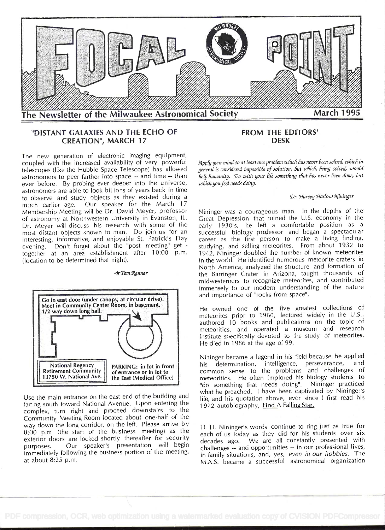

# "DISTANT GALAXIES AND THE ECHO OF **CREATION", MARCH 17**

The new generation of electronic imaging equipment, coupled with the increased availability of very powerful telescopes (like the Hubble Space Telescope) has allowed astronomers to peer farther into space -- and time -- than ever before. By probing ever deeper into the universe, astronomers are able to look billions of years back in time to observe and study objects as they existed during a Our speaker for the March 17 much earlier age. Membership Meeting will be Dr. David Meyer, professor of astronomy at Northwestern University in Evanston, IL. Dr. Meyer will discuss his research with some of the most distant objects known to man. Do join us for an interesting, informative, and enjoyable St. Patrick's Day evening. Don't forget about the "post meeting" get together at an area establishment after 10:00 p.m. (location to be determined that night).

### $\star$ Tom Renner



Use the main entrance on the east end of the building and facing south toward National Avenue. Upon entering the complex, turn right and proceed downstairs to the Community Meeting Room located about one-half of the way down the long corridor, on the left. Please arrive by 8:00 p.m. (the start of the business meeting) as the exterior doors are locked shortly thereafter for security Our speaker's presentation will begin purposes. immediately following the business portion of the meeting, at about  $8:25$  p.m.

# **FROM THE EDITORS' DESK**

Apply your mind to at least one problem which has never been solved, which in general is considered impossible of solution, but which, being solved, would help humanity. Do with your life something that has never been done, but which you feel needs doing.

#### Dr. Harvey Harlow Nininger

Nininger was a courageous man. In the depths of the Great Depression that ruined the U.S. economy in the early 1930's, he left a comfortable position as a successful biology professor and began a spectacular career as the first person to make a living finding, studying, and selling meteorites. From about 1932 to 1942, Nininger doubled the number of known meteorites in the world. He identified numerous meteorite craters in North America, analyzed the structure and formation of the Barringer Crater in Arizona, taught thousands of midwesterners to recognize meteorites, and contributed immensely to our modern understanding of the nature and importance of "rocks from space".

He owned one of the five greatest collections of meteorites prior to 1960, lectured widely in the U.S., authored 10 books and publications on the topic of meteoritics, and operated a museum and research institute specifically devoted to the study of meteorites. He died in 1986 at the age of 99.

Nininger became a legend in his field because he applied his determination, intelligence, perseverance, and common sense to the problems and challenges of meteoritics. He often implored his biology students to "do something that needs doing". Nininger practiced what he preached. I have been captivated by Nininger's life, and his quotation above, ever since I first read his 1972 autobiography, Find A Falling Star.

H. H. Nininger's words continue to ring just as true for each of us today as they did for his students over six decades ago. We are all constantly presented with challenges -- and opportunities -- in our professional lives, in family situations, and, yes, even in our hobbies. The M.A.S. became a successful astronomical organization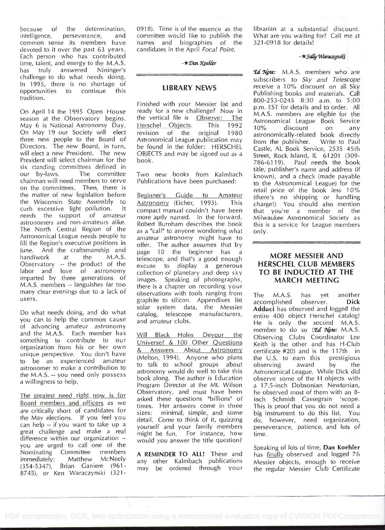because of the determination, intelligence, perseverance, and common sense its members have devoted to it over the past 63 years. Each person who has contributed time, talent, and energy to the M.A.S. has truly answered Nininger's challenge to do what needs doing. In 1995, there is no shortage of opportunities to continue this tradition.

on April 14 the 1995 Open House season at the Observatory begins. May 6 is National Astronomy Day. On May 19 our Society will elect three new people to the Board of Directors. The new Board, in turn, will elect a new President. The new President will select chairman for the six standing committees defined in our by-laws. The committee chairman will need members to serve on the committees. Then, there is the matter of new legislation before Beginner's the Wisconsin State Assembly to curb excessive light pollution. lt needs the support of amateur astronomers and non-amateurs alike. The North Central Region of the Astronomical League needs people to fill the Region's executive positions in June. And the craftsmanship and handiwork at the M.A.S. Observatory -- the product of the labor and love of astronomy imparted by three generations of M.A.S. members -- languishes far too many clear evenings due to a lack of users.

Do what needs doing, and do what you can to help the common cause of advancing amateur astronomy and the M.A.S. Each member has something to contribute to our organization from his or her own unique perspective. You don't have to be an experienced amateur astronomer to make a contribution to the M.A.S. -- you need only possess a willingness to help.

The greatest need right now is for Board members and officers as we are critically short of candidates for sizes: the May elections. If you feel you can help -- if you want to take up a great challenge and make a real difference within our organization  $$ you are urged to call one of the Nominating Committee members immediately: Matthew McNeely (354-5347), Brian Ganiere (961 8745), or Ken Waraczynski (321-

0918). Time is of the essence as the committee would like to publish the names and biographies of the candidates in the April Focal Point.<br>-  $\star$  Dan Koehler

# LIBRARY NEWS

Finished with your Messier list and ready for a new challenge? Now in the vertical file is Observe: The Herschel Objects. This 1992  $^{10}_{10\%}$ revision of the original 1980 Astronomical League publication may be found in the folder: HERSCHEL OBJECTS and may be signed out as a book.

Two new books from Kalmbach Publications have been purchased:

Guide to Amateur Astronomy (Eicher, 1993). This compact manual couldn't have been more aptly named. In the forward, Robert Burnham describes the book as a "call" to anyone wondering what amateur astronomy might have to offer. The author assumes that by page 10 the beginner has a telescope, and that's a good enough excuse to display a generous collection of planetary and deep sky images. Speaking of photographs, there is a chapter on recording your observations with tools ranging from The graphite to silicon. Appendixes list solar system data, the Messier catalog, telescope manufacturers, and amateur clubs.

Will Black Holes Devour the Universe? & 100 Other Questions & Answers About Astronomy (Melton, 1994). Anyone who plans to talk to school groups about astronomy would do well to take this book along. The author is Education Program Director at the Mt. Wilson Observatory, and must have been asked these questions "billions" of times. Her answers come in three minimal, simple, and some detail. Come to think of it, quizzing yourself and your family members might be fun. For instance, how would you answer the title question?

A REMINDER TO ALL! These and any other Kalmbach publications may be ordered through your librarian at a substantial discount. What are you waiting for? Call me at 321-0918 for details!

#### $-\star$ Sally Waraczynski

**Ed Note:** M.A.S. members who are subscribers to Sky and Telescope receive a 10% discount on all Sky Publishing books and materials. Call 800-253-0245 8:30 a.m. to 5:00 p.m. EST for details and to order. All M.A.S. members are eligible for the Astronomical League Book Service discount on any astronomically-related book directly from the publisher. Write to Paul Castle, AL Book Service, 2535 45th Street, Rock Island, IL 61201 (309- 786-6119). Paul needs the book title, publisher's name and address (if known), and a check (made payable to the Astronomical League) for the retail price of the book less 10% (there's no shipping or handling charge!) You should also mention that you're a member of the Milwaukee Astronomical Society as this is a service for League members only.

# MORE MESSIER AND HERSCHEL CLUB MEMBERS TO BE INDUCTED AT THE MARCH MEETING

M.A.S. has yet another accomplished observer. Dick Adduci has observed and logged the entire 400 object Herschel catalog! He is only the second M.A.S. member to do so  $(\mathcal{E}d \mathcal{N}$ ote: M.A.S. Observing Clubs Coordinator Lee Keith is the other and has H-Club certificate  $#20$ ) and is the 117th in the U.S. to earn this prestigious the  $U.S.$  to earn this observing award by the Astronomical League. While Dick did observe some of the H objects with a 17.5-inch Dobsonian Newtonian, he observed most of them with an 8 inch Schmidt Cassegrain 'scope. This is proof that you do not need a big instrument to do this list. You do, however, need organization, perseverance, patience, and lots of time.

Speaking of lots of time, Dan Koehler has finally observed and logged 76 Messier objects, enough to receive the regular Messier Club Certificate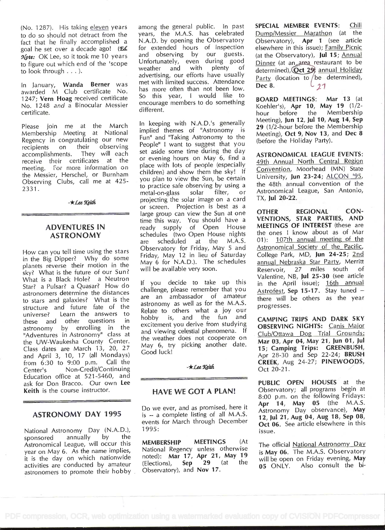(No. 1287). His taking eleven years to do so should not detract from the fact that he finally accomplished a goal he set over a decade ago! (Ed. Note: OK Lee, so it took me 10 years to figure out which end of the 'scope Untortur to look through . . . ).

In January, Wanda Berner was awarded M Club certificate No. 1247; Vern Hoag received certificate No. 1248 and a Binocular Messier certificate.

Please join me at the March Membership Meeting at National Regency in congratulating our new recipients on their observing accomplishments. They will each receive their certificates at the meeting. For more information on the Messier, Herschel, or Burnham Observing Clubs, call me at 425 2331.

 $-x$ Lee Keith

# ADVENTURES IN ASTRONOMY

How can you tell time using the stars in the Big Dipper? Why do some planets reverse their motion in the sky? What is the future of our Sun? What is a Black Hole? a Neutron Star? a Pulsar? a Quasar? How do astronomers determine the distances to stars and galaxies? What is the structure and future fate of the universe? Learn the answers to these and other questions in astronomy by enrolling in the  $\frac{ex}{ex}$ "Adventures in Astronomy" class at  $\frac{d}{dt}$ the UW-Waukesha County Center. Class dates are March 13, 20, 27  $\%$ and April 3, 10, 17 (all Mondays) from 6:30 to 9:00 p.m. Call the Center's Non-Credit/Continuing Education office at 521-5460, and ask for Don Bracco. Our own Lee Keith is the course instructor.

# ASTRONOMY DAY 1995

National Astronomy Day (N.A.D.),<br>sponsored annually by the sponsored annually Astronomical League, will occur this year on May 6. As the name implies, it is the day on which nationwide noted):  $M$  activities are conducted by amateur (Elections), activities are conducted by amateur astronomers to promote their hobby

among the general public. In past years, the M.A.S. has celebrated N.A.D. by opening the Observatory for extended hours of inspection and observing by our guests. Unfortunately, even during good<br>weather and with plenty of plenty advertising, our efforts have usually met with limited success. Attendance has more often than not been low. So this year, I would like to encourage members to do something different.

In keeping with N.A.D.'s generally implied themes of "Astronomy is Fun" and "Taking Astronomy to the People" I want to suggest that you set aside some time during the day or evening hours on May 6, find a place with lots of people (especially children) and show them the sky! If you plan to view the Sun, be certain to practice safe observing by using a<br>metal-on-glass solar filter, or metal-on-glass projecting the solar image on a card or screen. Projection is best as a<br>large group can view the Sun at one OTHER large group can view the Sun at one time this way. You should have a ready supply of Open House M schedules (two Open House nights are scheduled at the M.A.S. Observatory for Friday, May 5 and Friday, May 12 in lieu of Saturday May 6 for N.A.D.). The schedules will be available very soon.

If you decide to take up this challenge, please remember that you are an ambassador of amateur astronomy as well as for the M.A.S. Relate to others what a joy our hobby is, and the fun and excitement you derive from studying and viewing celestial phenomena. If the weather does not cooperate on May 6, try picking another date. Good luck!

### $-\star$  Lee Keith

# HAVE WE GOT A PLAN!

Do we ever, and as promised, here it is -- a complete listing of all M.A.S. events for March through December 1995:

MEMBERSHIP MEETINGS (At National Regency unless otherwise noted): Mar  $17$ , Apr  $21$ , May  $19$ <br>(Elections). Sep  $29$  (at the  $\text{Sep}$  29 (at the  $\frac{\text{Will be open}}{\text{05 ONLY}}$ Observatory), and Nov 17.

SPECIAL MEMBER EVENTS: Chili Dump/Messier Marathon (at the Observatory), Apr 1 (see article elsewhere in this issue); Family Picnic (at the Observatory), Jul 15; Annual Dinner (at an area restaurant to be determined), Oct 29 annual Holiday Party (location to be determined), Dec 8.  $\begin{array}{cc} \downarrow & \downarrow & \downarrow \end{array}$ 

BOARD MEETINGS: Mar 13 (at Koehler's), Apr 10, May 19 (1/2 hour before the Membership Meeting), Jun 12, Jul 10, Aug 14, Sep 29 (1/2-hour before the Membership Meeting), Oct 9, Nov 13, and Dec 8 (before the Holiday Party).

ASTRONOMICAL LEAGUE EVENTS: 49th Annual North Central Region Convention, Moorhead (MN) State University, Jun 23-24; ALCON '95, the 48th annual convention of the Astronomical League, San Antonio, TX, Jul 20-22.

REGIONAL CON-VENTIONS, STAR PARTIES, AND MEETINGS OF INTEREST (these are the ones I know about as of Mar 01): 107th annual meeting of the Astronomical Society of the Pacific, College Park, MD, Jun 24-25; 2nd annual Nebraska Star Party, Merritt Reservoir, 27 miles south of Valentine, NB, Jul 25-30 (see article in the April issue); 16th annual Astrofest, Sep 15-17. Stay tuned there will be others as the year progresses.

CAMPING TRIPS AND DARK SKY OBSERVING NIGHTS: Canis Maior Club/Ottawa Dog Trial Grounds: Mar 03, Apr 04, May 21, Jun 01, Jul 15; Camping Trips: GREENBUSH, Apr 28-30 and Sep 22-24; **BRUSH** CREEK, Aug 24-27; PINEWOODS, Oct 20-21.

PUBLIC OPEN HOUSES at the Observatory; all programs begin at 8:00 p.m. on the following Fridays: Apr 14, May 05 (the M.A.S. Astronomy Day observance), May 12, Jul 21, Aug 04, Aug 18, Sep 08, Oct 06. See article elsewhere in this issue.

The official National Astronomy Day is May 06. The M.A.S. Observatory will be open on Friday evening, May Also consult the bi-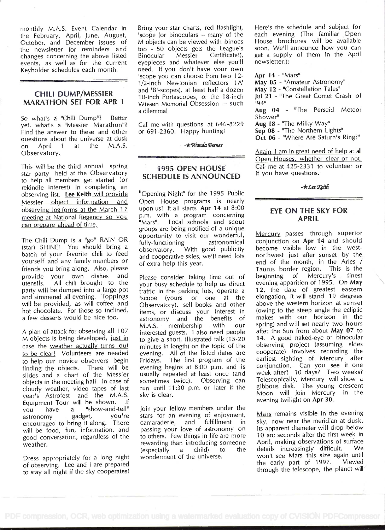monthly M.A.S. Event Calendar in the February, April, June, August, October, and December issues of the newsletter for reminders and too - 50<br>changes concerning the above listed Binocular changes concerning the above listed events, as well as for the current Keyholder schedules each month.

## CHILI DUMP/MESSIER MARATHON SET FOR APR <sup>1</sup>

So what's a "Chili Dump"? Better yet, what's a "Messier Marathon"? Find the answer to these and other questions about the universe at dusk on April 1 at the M.A.S. Observatory.

This will be the third annual spring star party held at the Observatory to help all members get started (or rekindle interest) in completing an observing list. Lee Keith will provide Messier object information and observing log forms at the March 17 meeting at National Regency so you p.m. w can prepare ahead of time.

The Chili Dump is a "go" RAIN OR (star) SHINE! You should bring a (star) SHINE: You should bring a subservatory.<br>batch of your favorite chili to feed and connective yourself and any family members or friends you bring along. Also, please provide your own dishes and<br>utensils. All chili brought to the All chili brought to the party will be dumped into a large pot and simmered all evening. Toppings will be provided, as will coffee and hot chocolate. For those so inclined, a few desserts would be nice too.

M.A.S.<br>A plan of attack for observing all 107 interested M objects is being developed, just in case the weather actually turns out to be clear! Volunteers are needed to help our novice observers begin finding the objects. There will be slides and a chart of the Messier objects in the meeting hall. In case of cloudy weather, video tapes of last year's Astrofest and the M.A.S. Equipment Tour will be shown. you have a "show-and-tell" astronomy encouraged to bring it along. There will be food, fun, information, and good conversation, regardless of the weather.

Dress appropriately for a long night of observing. Lee and I are prepared to stay all night if the sky cooperates! Bring your star charts, red flashlight, 'scope (or binoculars -- many of the M objects can be viewed with binocs too - 50 objects gets the League's<br>Binocular Messier Certificate!), Certificate!), eyepieces and whatever else you'll need. If you don't have your own 'scope you can choose from two 12- 1/2-inch Newtonian reflectors ('A' and 'B'-scopes), at least half a dozen 10-inch Portascopes, or the 18-inch Wiesen Memorial Obsession -- such a dilemma!

Call me with questions at 646-8229 or 691-2360. Happy hunting!

 $-\star$  Wanda Berner

# 1995 OPEN HOUSE SCHEDULE IS ANNOUNCED

"Opening Night" for the 1995 Public Open House programs is nearly upon us! It all starts Apr 14 at 8:00 p.m. with a program concerning Local schools and scout groups are being notified of a unique opportunity to visit our wonderful,<br>fully-functioning astronomical fully-functioning With good publicity and cooperative skies, we'll need lots of extra help this year.

Please consider taking time out of beginning your busy schedule to help us direct traffic in the parking lots, operate a 'scope (yours or one at the Observatory), sell books and other items, or discuss your interest in astronomy and the benefits of<br>M.A.S. membership with our membership with our interested guests. I also need people to give a short, illustrated talk (15-20 minutes in length) on the topic of the evening. All of the listed dates are Fridays. The first program of the evening begins at 8:00 p.m. and is usually repeated at least once (and sometimes twice). Observing can run until <sup>1</sup>1 :30 p.m. or later if the sky is clear.

Join your fellow members under the stars for an evening of enjoyment,<br>camaraderie, and fulfillment in camaraderie, passing your love of astronomy on to others. Few things in life are more rewarding than introducing someone<br>(especially a child) to the  $(especially a child) to$ wonderment of the universe.

Here's the schedule and subject for each evening (The familiar Open House brochures will be available soon. We'll announce how you can get a supply of them in the April newsletter.):

#### Apr  $14 -$  "Mars"

May 05 - "Amateur Astronomy"

- May 12 "Constellation Tales"
- Jul 21 "The Great Comet Crash of '94"

Aug 04 - "The Perseid Meteor Shower"

Aug 18 - "The Milky Way"

Sep 08 - "The Northern Lights"

Oct 06 - "Where Are Saturn's Ring?"

Again, I am in great need of help at all Open Houses, whether clear or not. Call me at 425-2331 to volunteer or if you have questions.

 $-\star$ Lee Keith

# EYE ON THE SKY FOR APRIL

Mercury passes through superior conjunction on Apr 14 and should become visible low in the westnorthwest just after sunset by the end of the month, in the Aries / Taurus border region. This is the<br>beginning of Mercury's finest of Mercury's evening apparition of 1995. On May 12, the date of greatest eastern elongation, it will stand 19 degrees above the western horizon at sunset (owing to the steep angle the ecliptic makes with our horizon in the spring) and will set nearly two hours after the Sun from about May 07 to 14. A good naked-eye or binocular observing project (assuming skies cooperate) involves recording the earliest sighting of Mercury after conjunction. Can you see it one week after? 10 days? Two weeks? Telescopically, Mercury will show a gibbous disk. The young crescent Moon will join Mercury in the evening twilight on Apr 30.

Mars remains visible in the evening sky, now near the meridian at dusk. Its apparent diameter will drop below 10 arc seconds after the first week in April, making observations of surface<br>details increasingly difficult. We details increasingly difficult. won't see Mars this size again until<br>the early part of 1997. Viewed the early part of  $1997$ . through the telescope, the planet will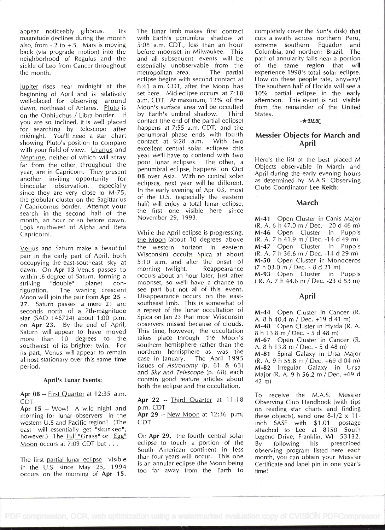appear noticeably gibbous. Its magnitude declines during the month also, from  $-2$  to  $+5$ . Mars is moving back (via prograde motion) into the neighborhood of Regulus and the sickle of Leo from Cancer throughout the month.

Jupiter rises near midnight at the beginning of April and is relatively well-placed for observing around dawn, northeast of Antares. Pluto is on the Ophiuchus / Libra border. If you are so inclined, it is well placed for searching by telescope after midnight. You'll need a star chart showing Pluto's position to compare with your field of view. Uranus and Neptune, neither of which will stray far from the other throughout the year, are in Capricorn. They present another inviting opportunity for binocular observation, especially since they are very close to M-75, the globular cluster on the Sagittarius / Capricornus border. Attempt your search in the second half of the month, an hour or so before dawn. Look southwest of Alpha and Beta Capricorni.

Venus and Saturn make a beautiful pair in the early part of April, both occupying the east-southeast sky at dawn. On Apr 13 Venus passes to within .6 degree of Saturn, forming a<br>striking "double" planet constriking "double" figuration. The waning crescent Moon will join the pair from Apr 25 - 27. Saturn passes a mere 21 arc seconds north of a 7th-magnitude star (SAO 146724) about 1:00 p.m. on Apr 23. By the end of April, Saturn will appear to have moved more than 10 degrees to the southwest of its brighter twin. For its part, Venus will appear to remain almost stationary over this same time period.

## April's Iunar Events:

Apr 08 -- First Quarter at 12:35 a.m. CDT

Apr 15 -- Wow! A wild night and morning for lunar observers in the western U.S and Pacific region! (The east will essentially get "skunked", however.) The Full "Grass" or "Egg" Moon occurs at 7:09 CDT but . . .

The first partial lunar eclipse visible in the U.S. since May  $25$ , 1994 occurs on the morning of Apr 15.

The lunar limb makes first contact with Earth's penumbral shadow at 5:08 a.m. CDT., less than an hour before moonset in Milwaukee. This and all subsequent events will be essentially unobservable from the<br>metropolitan area. The partial metropolitan area. eclipse begins with second contact at 6:41 a.m. CDT, after the Moon has set here. Mid-eclipse occurs at 7:18 a.m. CDT. At maximum, 12% of the Moon's surface area will be occulted by Earth's umbral shadow. Third contact (the end of the partial eclipse) happens at 7:55 a.m. CDT, and the penumbral phase ends with fourth contact at 9:28 a.m. With two excellent central solar eclipses this year we'll have to contend with two poor lunar eclipses. The other, a penumbral eclipse, happens on Oct 08 over Asia. With no central solar eclipses, next year will be different. In the early evening of Apr 03, most of the U.S. (especially the eastern half) will enjoy a total lunar eclipse, the first one visible here since November 29, 1993.

While the April eclipse is progressing, the Moon (about 10 degrees above the western horizon in eastern Wisconsin) occults Spica at about 5:10 a.m. and after the onset of morning twilight. Reappearance morning twilight. occurs about an hour later, just after moonset, so we'll have a chance to see part but not all of this event. Disappearance occurs on the eastsoutheast limb. This is somewhat of a repeat of the lunar occultation of Spica on Jan 23 that most Wisconsin observers missed because of clouds. This time, however, the occultation takes place through the Moon's M-67 Open Cluster in Cancer (R. southern hemisphere rather than the northern hemisphere as was the case in January. The April 1995 issues of Astronomy (p. 61 & 63) and Sky and Telescope (p. 68) each contain good feature articles about both the eclipse and the occultation.

Apr 22 -- Third Quarter at 11:18 p.m. CDT

Apr 29 -- New Moon at 12:36 p.m. CDT

On Apr 29, the fourth central solar eclipse to touch a portion of the  $By'$ South American continent in less than four years will occur. This one is an annular eclipse (the Moon being too far away from the Earth to

completely cover the Sun's disk) that cuts a swath across northern Peru, extreme southern Equador and Columbia, and northern Brazil. The path of annularity falls near a portion of the same region that will experience 1998's total solar eclipse. How do these people rate, anyway! The southern half of Florida will see a 10% partial eclipse in the early afternoon. This event is not visible from the remainder of the United States.

 $-\star$  DLK

# Messier Objects for March and April

Here's the list of the best placed M Objects observable in March and April during the early evening hours as determined by M.A.S. Observing Clubs Coordinator Lee Keith:

# March

M-41 Open Cluster in Canis Major (R. A. 6 h 47.0 m / Dec. - 20 d 46 m) M-46 Open Cluster in Puppis (R. A. 7 h 41.9 m / Dec. -14 d 49 m) M-47 Open Cluster in Puppis (R. A. 7 h 36.6 m / Dec. -14 d 29 m) M-50 Open Cluster in Monoceros (7 h 03.0 m / Dec. - 8 d 21 m) M-93 Open Cluster in Puppis ( R. A. 7 h 44.6 m / Dec. -23 d 53 m)

# April

M-44 Open Cluster in Cancer (R. A.  $8 h 40.4 m / Dec. +19 d 41 m$ M-48 Open Cluster in Hyrda (R. A. 8h13.8m/Dec.-5d48rn) A. 8 h 13.8 m / Dec. - 5 d 48 m) M-81 Spiral Galaxy in Ursa Major (R. A. 9 h 55.8 m / Dec. +69 d 04 m) M-82 Irregular Galaxy in Ursa Major (R. A. 9 h 56.2 m / Dec. +69 d

42 m)

To receive the M.A.S. Messier Observing Club Handbook (with tips on reading star charts and finding these objects), send one  $8-1/2 \times 11$ -<br>inch SASE with \$1.01 postage inch  $SASE$  with  $$1.01$ attached to Lee at 8150 South Legend Drive, Franklin, WI 53132. following his prescribed observing program listed here each month, you can obtain your Messier Certificate and lapel pin in one year's time!